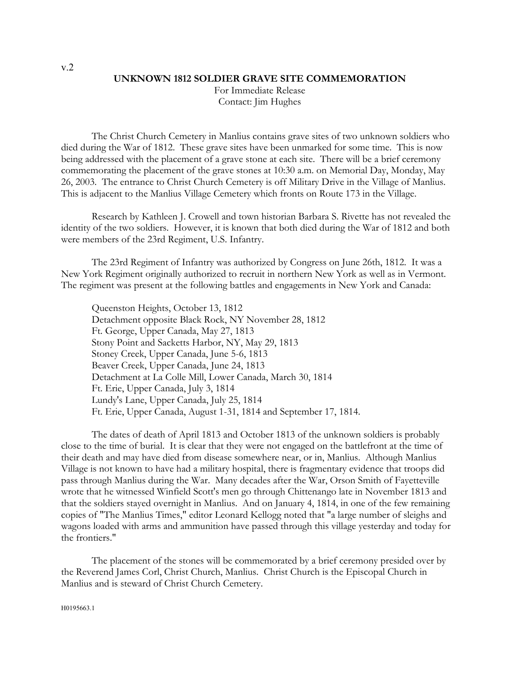## **UNKNOWN 1812 SOLDIER GRAVE SITE COMMEMORATION**

For Immediate Release Contact: Jim Hughes

The Christ Church Cemetery in Manlius contains grave sites of two unknown soldiers who died during the War of 1812. These grave sites have been unmarked for some time. This is now being addressed with the placement of a grave stone at each site. There will be a brief ceremony commemorating the placement of the grave stones at 10:30 a.m. on Memorial Day, Monday, May 26, 2003. The entrance to Christ Church Cemetery is off Military Drive in the Village of Manlius. This is adjacent to the Manlius Village Cemetery which fronts on Route 173 in the Village.

Research by Kathleen J. Crowell and town historian Barbara S. Rivette has not revealed the identity of the two soldiers. However, it is known that both died during the War of 1812 and both were members of the 23rd Regiment, U.S. Infantry.

The 23rd Regiment of Infantry was authorized by Congress on June 26th, 1812. It was a New York Regiment originally authorized to recruit in northern New York as well as in Vermont. The regiment was present at the following battles and engagements in New York and Canada:

Queenston Heights, October 13, 1812 Detachment opposite Black Rock, NY November 28, 1812 Ft. George, Upper Canada, May 27, 1813 Stony Point and Sacketts Harbor, NY, May 29, 1813 Stoney Creek, Upper Canada, June 5-6, 1813 Beaver Creek, Upper Canada, June 24, 1813 Detachment at La Colle Mill, Lower Canada, March 30, 1814 Ft. Erie, Upper Canada, July 3, 1814 Lundy's Lane, Upper Canada, July 25, 1814 Ft. Erie, Upper Canada, August 1-31, 1814 and September 17, 1814.

The dates of death of April 1813 and October 1813 of the unknown soldiers is probably close to the time of burial. It is clear that they were not engaged on the battlefront at the time of their death and may have died from disease somewhere near, or in, Manlius. Although Manlius Village is not known to have had a military hospital, there is fragmentary evidence that troops did pass through Manlius during the War. Many decades after the War, Orson Smith of Fayetteville wrote that he witnessed Winfield Scott's men go through Chittenango late in November 1813 and that the soldiers stayed overnight in Manlius. And on January 4, 1814, in one of the few remaining copies of "The Manlius Times," editor Leonard Kellogg noted that "a large number of sleighs and wagons loaded with arms and ammunition have passed through this village yesterday and today for the frontiers."

The placement of the stones will be commemorated by a brief ceremony presided over by the Reverend James Corl, Christ Church, Manlius. Christ Church is the Episcopal Church in Manlius and is steward of Christ Church Cemetery.

v.2